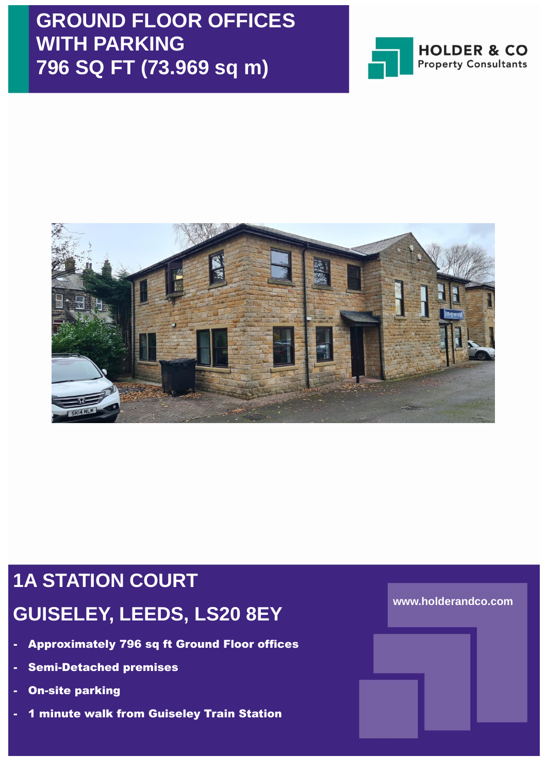## **GROUND FLOOR OFFICES WITH PARKING 796 SQ FT (73.969 sq m)**





# **1A STATION COURT GUISELEY, LEEDS, LS20 8EY**

- Approximately 796 sq ft Ground Floor offices
- Semi-Detached premises
- **On-site parking**
- **1 minute walk from Guiseley Train Station**

**www.holderandco.com**